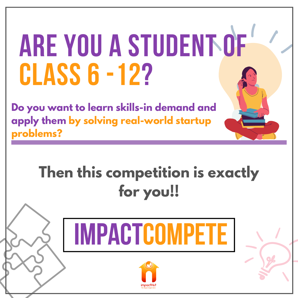# **Are you a student of Class 6 -12?**

**Do you want to learn skills-in demand and apply them by solving real-world startup problems?**

### **Then this competition is exactly for you!!**



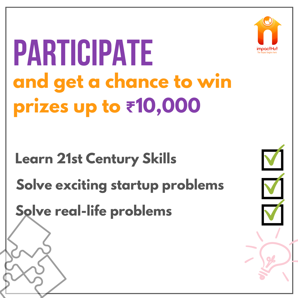

## **Participate and get a chance to win prizes up to ₹10,000**

### **Learn 21st Century Skills**

### **Solve exciting startup problems**

### **Solve real-life problems**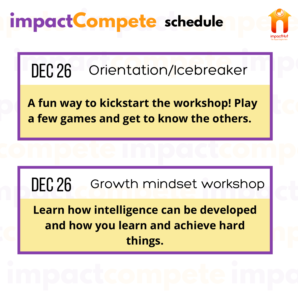



**incompete to the interpretent of the interpretent of the interpretent of the interpretent of the interpretent of the interpretent of the interpretent of the interpretent of the interpretent of the interpretent of the inte** DEC 26 Orientation/Icebreaker

**decomposity A fun way to kickstart the workshop! Play<br>a few games and get to know the others. A fun way to kickstart the workshop! Play a few games and get to know the others.** 

**utility** Growth mindset workshop DEC 26 Growth mindset workshop

**compete impactcompe**

**things.**<br> **and how you learn and achieve hard things. Learn how intelligence can be developed things.**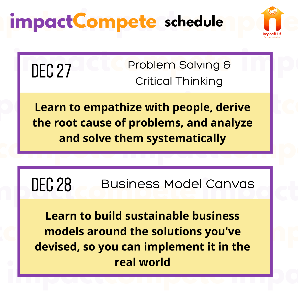



**incompete the Compact of Compact of Compact of Compact of Compact of Compact of Compact of Compact of Compact of Compact of Compact of Compact of Compact of Compact of Compact of Compact of Compact of Compact of Compact o** Problem Solving & Critical Thinking DEC 27

**decompatize with people, derive die in the competent of the competence of the competence of the competence of the competence of the competence of the competence of the competence of the competence of the competence of the competence of the competence of Learn to empathize with people, derive the root cause of problems, and analyze and solve them systematically**

### **bet 28** Business Model Canvas DEC 28 Business Model Canvas

**the solutions you've**<br> **interest of the solutions of the devised so you can implement it in the impact of the complete of the complete of the complete of the complete of the complete of the complete of the complete of the complete of the complete of the complete of the complete of the complete of the complete of the Learn to build sustainable business models around the solutions you've devised, so you can implement it in the real world**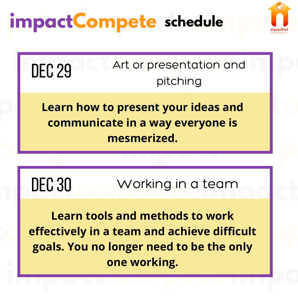



DEC 29

**incompresentation and The COME COMPRESENT** Art or presentation and pitching

**part is a competent of the competence of the competence of the competence of the competence of the competence of the competence of the competence of the competence of the competence of the compete of the compete of the co de la competitude de la competitude de la competitude de la competitude de la competition de la competition de la competition de la competition de la competition de la competition de la competition de la competition de la Learn how to present your ideas and communicate in a way everyone is mesmerized.**

**del 1999 in the Morking in a team of the set of the set of the set of the set of the set of the set of the set of the set of the set of the set of the set of the set of the set of the set of the set of the set of the set** DEC 30 Working in a team

**the effectively in a team and achieve difficult incommented impactually Learn tools and methods to work effectively in a team and achieve difficult goals. You no longer need to be the only one working.**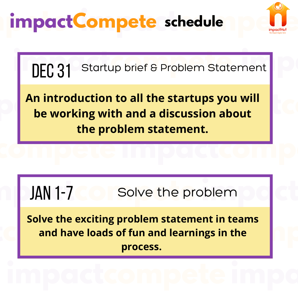



**impacts in the Case of State State Statement** Startup brief & Problem Statement DEC31

**partcompete in the startups you will all the startups you will all the startups you will all the working with and a discussion about An introduction to all the startups you will the problem statement.**

**compete impactcompe**

**has solve the problem** JAN 1-7 Solve the problem

and have loads of fun and learnings in the **Solve the exciting problem statement in teams and have loads of fun and learnings in the process.**